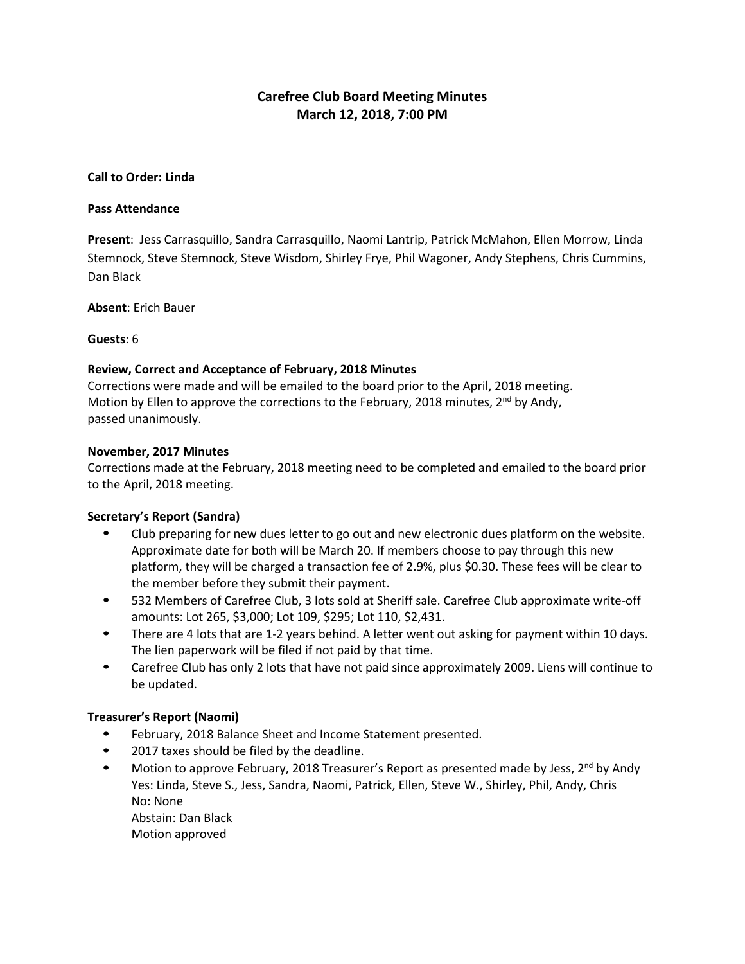# **Carefree Club Board Meeting Minutes March 12, 2018, 7:00 PM**

### **Call to Order: Linda**

#### **Pass Attendance**

**Present**: Jess Carrasquillo, Sandra Carrasquillo, Naomi Lantrip, Patrick McMahon, Ellen Morrow, Linda Stemnock, Steve Stemnock, Steve Wisdom, Shirley Frye, Phil Wagoner, Andy Stephens, Chris Cummins, Dan Black

**Absent**: Erich Bauer

#### **Guests**: 6

### **Review, Correct and Acceptance of February, 2018 Minutes**

Corrections were made and will be emailed to the board prior to the April, 2018 meeting. Motion by Ellen to approve the corrections to the February, 2018 minutes, 2<sup>nd</sup> by Andy, passed unanimously.

#### **November, 2017 Minutes**

Corrections made at the February, 2018 meeting need to be completed and emailed to the board prior to the April, 2018 meeting.

### **Secretary's Report (Sandra)**

- Club preparing for new dues letter to go out and new electronic dues platform on the website. Approximate date for both will be March 20. If members choose to pay through this new platform, they will be charged a transaction fee of 2.9%, plus \$0.30. These fees will be clear to the member before they submit their payment.
- 532 Members of Carefree Club, 3 lots sold at Sheriff sale. Carefree Club approximate write-off amounts: Lot 265, \$3,000; Lot 109, \$295; Lot 110, \$2,431.
- There are 4 lots that are 1-2 years behind. A letter went out asking for payment within 10 days. The lien paperwork will be filed if not paid by that time.
- Carefree Club has only 2 lots that have not paid since approximately 2009. Liens will continue to be updated.

### **Treasurer's Report (Naomi)**

- February, 2018 Balance Sheet and Income Statement presented.
- 2017 taxes should be filed by the deadline.
- Motion to approve February, 2018 Treasurer's Report as presented made by Jess,  $2^{nd}$  by Andy Yes: Linda, Steve S., Jess, Sandra, Naomi, Patrick, Ellen, Steve W., Shirley, Phil, Andy, Chris No: None Abstain: Dan Black

Motion approved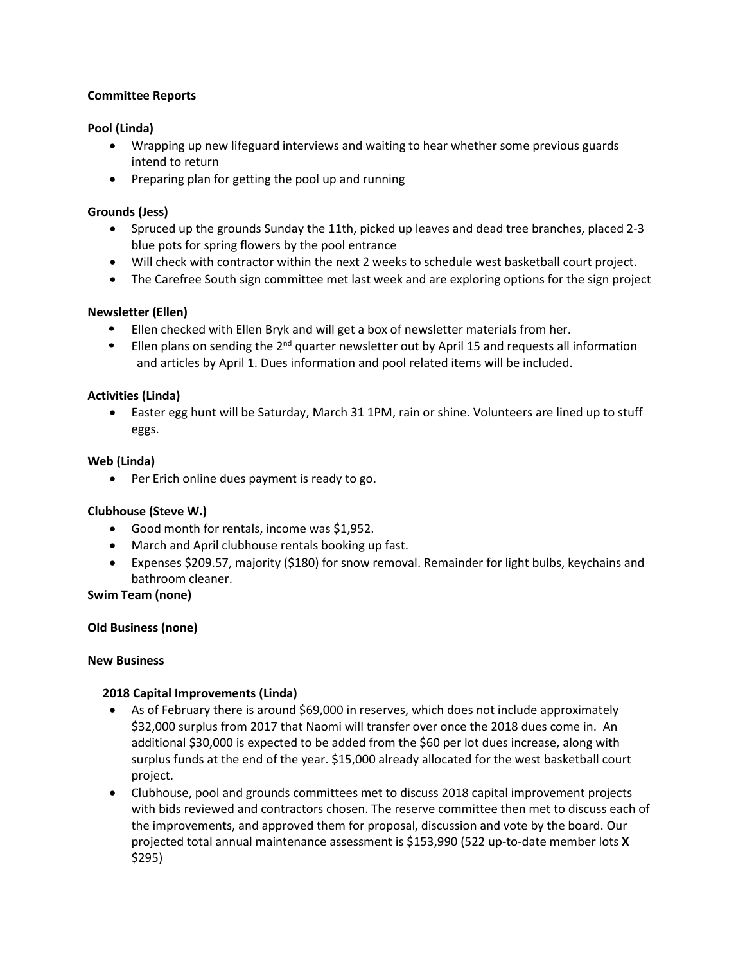## **Committee Reports**

# **Pool (Linda)**

- Wrapping up new lifeguard interviews and waiting to hear whether some previous guards intend to return
- Preparing plan for getting the pool up and running

## **Grounds (Jess)**

- Spruced up the grounds Sunday the 11th, picked up leaves and dead tree branches, placed 2-3 blue pots for spring flowers by the pool entrance
- Will check with contractor within the next 2 weeks to schedule west basketball court project.
- The Carefree South sign committee met last week and are exploring options for the sign project

## **Newsletter (Ellen)**

- Ellen checked with Ellen Bryk and will get a box of newsletter materials from her.
- $\bullet$  Ellen plans on sending the 2<sup>nd</sup> quarter newsletter out by April 15 and requests all information and articles by April 1. Dues information and pool related items will be included.

## **Activities (Linda)**

• Easter egg hunt will be Saturday, March 31 1PM, rain or shine. Volunteers are lined up to stuff eggs.

### **Web (Linda)**

• Per Erich online dues payment is ready to go.

# **Clubhouse (Steve W.)**

- Good month for rentals, income was \$1,952.
- March and April clubhouse rentals booking up fast.
- Expenses \$209.57, majority (\$180) for snow removal. Remainder for light bulbs, keychains and bathroom cleaner.

### **Swim Team (none)**

### **Old Business (none)**

### **New Business**

### **2018 Capital Improvements (Linda)**

- As of February there is around \$69,000 in reserves, which does not include approximately \$32,000 surplus from 2017 that Naomi will transfer over once the 2018 dues come in. An additional \$30,000 is expected to be added from the \$60 per lot dues increase, along with surplus funds at the end of the year. \$15,000 already allocated for the west basketball court project.
- Clubhouse, pool and grounds committees met to discuss 2018 capital improvement projects with bids reviewed and contractors chosen. The reserve committee then met to discuss each of the improvements, and approved them for proposal, discussion and vote by the board. Our projected total annual maintenance assessment is \$153,990 (522 up-to-date member lots **X** \$295)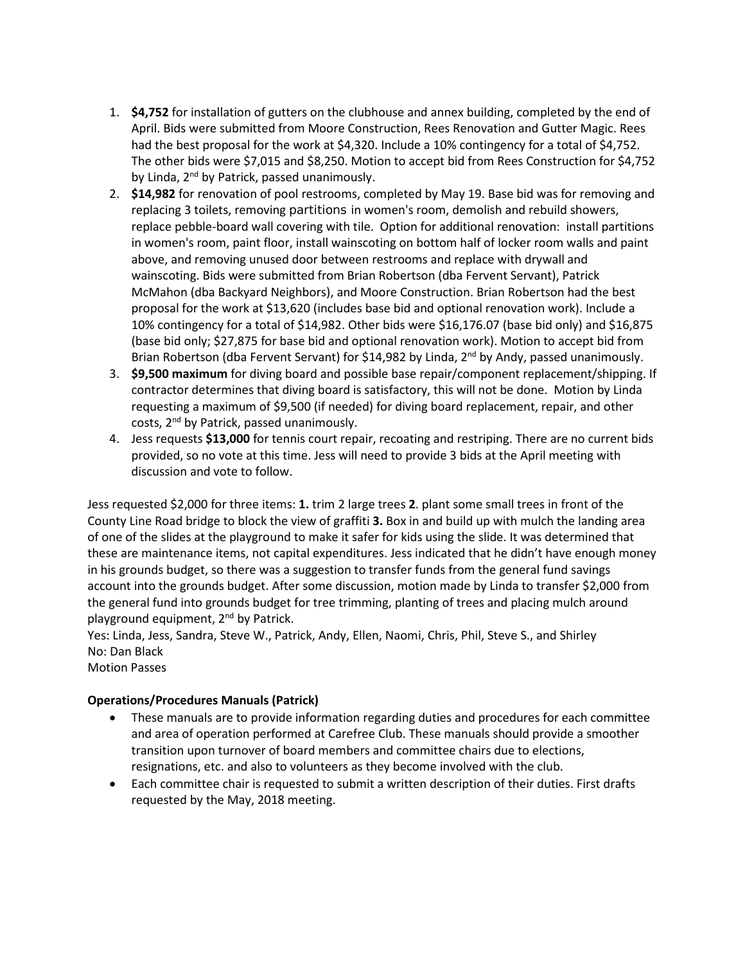- 1. **\$4,752** for installation of gutters on the clubhouse and annex building, completed by the end of April. Bids were submitted from Moore Construction, Rees Renovation and Gutter Magic. Rees had the best proposal for the work at \$4,320. Include a 10% contingency for a total of \$4,752. The other bids were \$7,015 and \$8,250. Motion to accept bid from Rees Construction for \$4,752 by Linda, 2<sup>nd</sup> by Patrick, passed unanimously.
- 2. **\$14,982** for renovation of pool restrooms, completed by May 19. Base bid was for removing and replacing 3 toilets, removing partitions in women's room, demolish and rebuild showers, replace pebble-board wall covering with tile. Option for additional renovation: install partitions in women's room, paint floor, install wainscoting on bottom half of locker room walls and paint above, and removing unused door between restrooms and replace with drywall and wainscoting. Bids were submitted from Brian Robertson (dba Fervent Servant), Patrick McMahon (dba Backyard Neighbors), and Moore Construction. Brian Robertson had the best proposal for the work at \$13,620 (includes base bid and optional renovation work). Include a 10% contingency for a total of \$14,982. Other bids were \$16,176.07 (base bid only) and \$16,875 (base bid only; \$27,875 for base bid and optional renovation work). Motion to accept bid from Brian Robertson (dba Fervent Servant) for \$14,982 by Linda, 2<sup>nd</sup> by Andy, passed unanimously.
- 3. **\$9,500 maximum** for diving board and possible base repair/component replacement/shipping. If contractor determines that diving board is satisfactory, this will not be done. Motion by Linda requesting a maximum of \$9,500 (if needed) for diving board replacement, repair, and other costs, 2<sup>nd</sup> by Patrick, passed unanimously.
- 4. Jess requests **\$13,000** for tennis court repair, recoating and restriping. There are no current bids provided, so no vote at this time. Jess will need to provide 3 bids at the April meeting with discussion and vote to follow.

Jess requested \$2,000 for three items: **1.** trim 2 large trees **2**. plant some small trees in front of the County Line Road bridge to block the view of graffiti **3.** Box in and build up with mulch the landing area of one of the slides at the playground to make it safer for kids using the slide. It was determined that these are maintenance items, not capital expenditures. Jess indicated that he didn't have enough money in his grounds budget, so there was a suggestion to transfer funds from the general fund savings account into the grounds budget. After some discussion, motion made by Linda to transfer \$2,000 from the general fund into grounds budget for tree trimming, planting of trees and placing mulch around playground equipment, 2nd by Patrick.

Yes: Linda, Jess, Sandra, Steve W., Patrick, Andy, Ellen, Naomi, Chris, Phil, Steve S., and Shirley No: Dan Black

Motion Passes

# **Operations/Procedures Manuals (Patrick)**

- These manuals are to provide information regarding duties and procedures for each committee and area of operation performed at Carefree Club. These manuals should provide a smoother transition upon turnover of board members and committee chairs due to elections, resignations, etc. and also to volunteers as they become involved with the club.
- Each committee chair is requested to submit a written description of their duties. First drafts requested by the May, 2018 meeting.